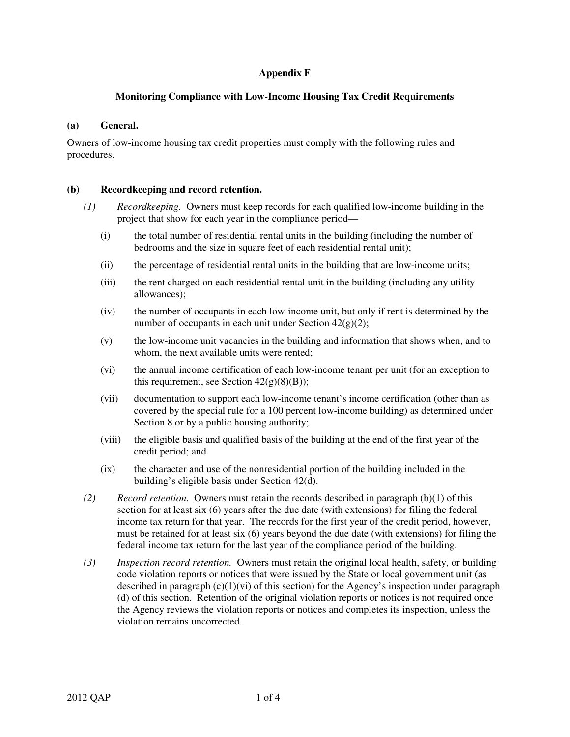# **Appendix F**

## **Monitoring Compliance with Low-Income Housing Tax Credit Requirements**

#### **(a) General.**

Owners of low-income housing tax credit properties must comply with the following rules and procedures.

## **(b) Recordkeeping and record retention.**

- *(1) Recordkeeping.* Owners must keep records for each qualified low-income building in the project that show for each year in the compliance period—
	- (i) the total number of residential rental units in the building (including the number of bedrooms and the size in square feet of each residential rental unit);
	- (ii) the percentage of residential rental units in the building that are low-income units;
	- (iii) the rent charged on each residential rental unit in the building (including any utility allowances);
	- (iv) the number of occupants in each low-income unit, but only if rent is determined by the number of occupants in each unit under Section 42(g)(2);
	- (v) the low-income unit vacancies in the building and information that shows when, and to whom, the next available units were rented;
	- (vi) the annual income certification of each low-income tenant per unit (for an exception to this requirement, see Section  $42(g)(8)(B)$ ;
	- (vii) documentation to support each low-income tenant's income certification (other than as covered by the special rule for a 100 percent low-income building) as determined under Section 8 or by a public housing authority;
	- (viii) the eligible basis and qualified basis of the building at the end of the first year of the credit period; and
	- (ix) the character and use of the nonresidential portion of the building included in the building's eligible basis under Section 42(d).
- *(2) Record retention.* Owners must retain the records described in paragraph (b)(1) of this section for at least six (6) years after the due date (with extensions) for filing the federal income tax return for that year. The records for the first year of the credit period, however, must be retained for at least six (6) years beyond the due date (with extensions) for filing the federal income tax return for the last year of the compliance period of the building.
- *(3) Inspection record retention.* Owners must retain the original local health, safety, or building code violation reports or notices that were issued by the State or local government unit (as described in paragraph  $(c)(1)(vi)$  of this section) for the Agency's inspection under paragraph (d) of this section. Retention of the original violation reports or notices is not required once the Agency reviews the violation reports or notices and completes its inspection, unless the violation remains uncorrected.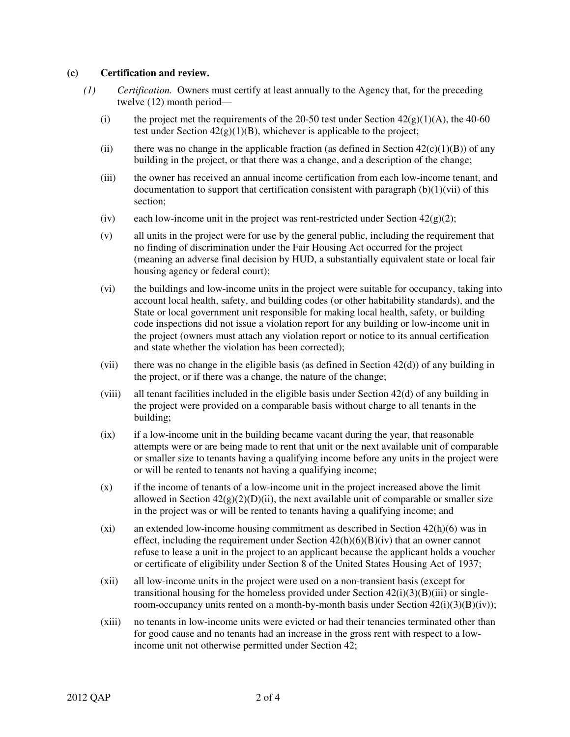#### **(c) Certification and review.**

- *(1) Certification.* Owners must certify at least annually to the Agency that, for the preceding twelve (12) month period—
	- (i) the project met the requirements of the 20-50 test under Section  $42(g)(1)(A)$ , the 40-60 test under Section  $42(g)(1)(B)$ , whichever is applicable to the project;
	- (ii) there was no change in the applicable fraction (as defined in Section  $42(c)(1)(B)$ ) of any building in the project, or that there was a change, and a description of the change;
	- (iii) the owner has received an annual income certification from each low-income tenant, and documentation to support that certification consistent with paragraph  $(b)(1)(vi)$  of this section;
	- (iv) each low-income unit in the project was rent-restricted under Section  $42(g)(2)$ ;
	- (v) all units in the project were for use by the general public, including the requirement that no finding of discrimination under the Fair Housing Act occurred for the project (meaning an adverse final decision by HUD, a substantially equivalent state or local fair housing agency or federal court);
	- (vi) the buildings and low-income units in the project were suitable for occupancy, taking into account local health, safety, and building codes (or other habitability standards), and the State or local government unit responsible for making local health, safety, or building code inspections did not issue a violation report for any building or low-income unit in the project (owners must attach any violation report or notice to its annual certification and state whether the violation has been corrected);
	- (vii) there was no change in the eligible basis (as defined in Section  $42(d)$ ) of any building in the project, or if there was a change, the nature of the change;
	- (viii) all tenant facilities included in the eligible basis under Section 42(d) of any building in the project were provided on a comparable basis without charge to all tenants in the building;
	- (ix) if a low-income unit in the building became vacant during the year, that reasonable attempts were or are being made to rent that unit or the next available unit of comparable or smaller size to tenants having a qualifying income before any units in the project were or will be rented to tenants not having a qualifying income;
	- (x) if the income of tenants of a low-income unit in the project increased above the limit allowed in Section  $42(g)(2)(D)(ii)$ , the next available unit of comparable or smaller size in the project was or will be rented to tenants having a qualifying income; and
	- (xi) an extended low-income housing commitment as described in Section 42(h)(6) was in effect, including the requirement under Section  $42(h)(6)(B)(iv)$  that an owner cannot refuse to lease a unit in the project to an applicant because the applicant holds a voucher or certificate of eligibility under Section 8 of the United States Housing Act of 1937;
	- (xii) all low-income units in the project were used on a non-transient basis (except for transitional housing for the homeless provided under Section  $42(i)(3)(B)(iii)$  or singleroom-occupancy units rented on a month-by-month basis under Section  $42(i)(3)(B)(iv)$ ;
	- (xiii) no tenants in low-income units were evicted or had their tenancies terminated other than for good cause and no tenants had an increase in the gross rent with respect to a lowincome unit not otherwise permitted under Section 42;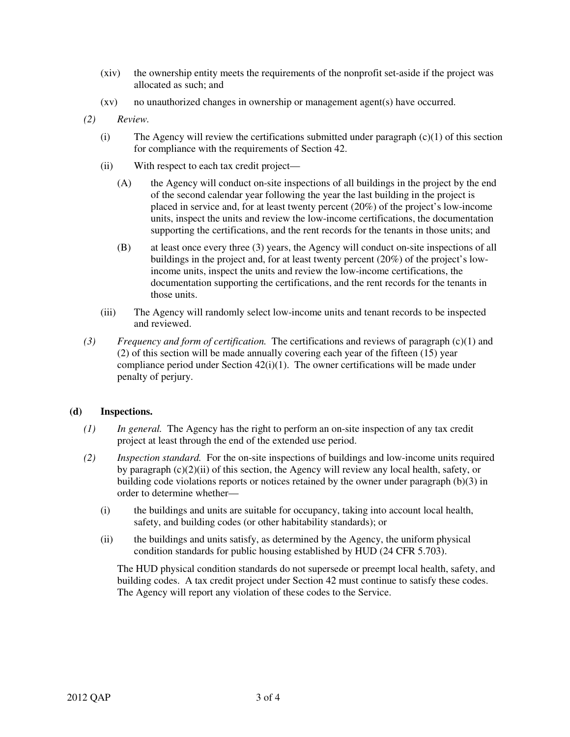- (xiv) the ownership entity meets the requirements of the nonprofit set-aside if the project was allocated as such; and
- (xv) no unauthorized changes in ownership or management agent(s) have occurred.
- *(2) Review.*
	- (i) The Agency will review the certifications submitted under paragraph  $(c)(1)$  of this section for compliance with the requirements of Section 42.
	- (ii) With respect to each tax credit project—
		- (A) the Agency will conduct on-site inspections of all buildings in the project by the end of the second calendar year following the year the last building in the project is placed in service and, for at least twenty percent (20%) of the project's low-income units, inspect the units and review the low-income certifications, the documentation supporting the certifications, and the rent records for the tenants in those units; and
		- (B) at least once every three (3) years, the Agency will conduct on-site inspections of all buildings in the project and, for at least twenty percent (20%) of the project's lowincome units, inspect the units and review the low-income certifications, the documentation supporting the certifications, and the rent records for the tenants in those units.
	- (iii) The Agency will randomly select low-income units and tenant records to be inspected and reviewed.
- *(3) Frequency and form of certification.* The certifications and reviews of paragraph (c)(1) and (2) of this section will be made annually covering each year of the fifteen (15) year compliance period under Section 42(i)(1). The owner certifications will be made under penalty of perjury.

## **(d) Inspections.**

- *(1) In general.* The Agency has the right to perform an on-site inspection of any tax credit project at least through the end of the extended use period.
- *(2) Inspection standard.* For the on-site inspections of buildings and low-income units required by paragraph (c)(2)(ii) of this section, the Agency will review any local health, safety, or building code violations reports or notices retained by the owner under paragraph (b)(3) in order to determine whether—
	- (i) the buildings and units are suitable for occupancy, taking into account local health, safety, and building codes (or other habitability standards); or
	- (ii) the buildings and units satisfy, as determined by the Agency, the uniform physical condition standards for public housing established by HUD (24 CFR 5.703).

The HUD physical condition standards do not supersede or preempt local health, safety, and building codes. A tax credit project under Section 42 must continue to satisfy these codes. The Agency will report any violation of these codes to the Service.